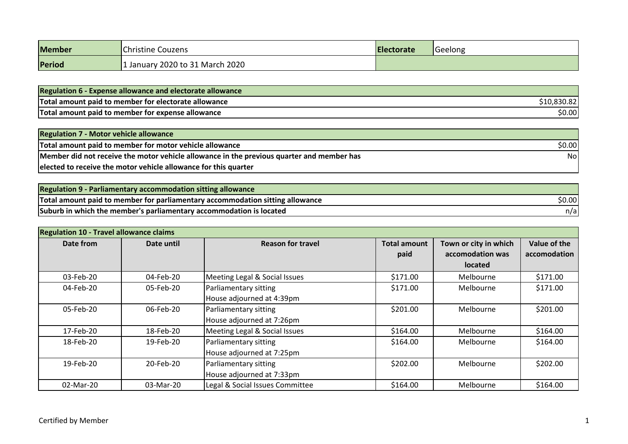| <b>Member</b> | Christine Couzens               | Electorate | Geelong |
|---------------|---------------------------------|------------|---------|
| Period        | 1 January 2020 to 31 March 2020 |            |         |

| <b>Regulation 6 - Expense allowance and electorate allowance</b> |             |
|------------------------------------------------------------------|-------------|
| Total amount paid to member for electorate allowance             | \$10,830.82 |
| Total amount paid to member for expense allowance                | \$0.00      |

| <b>Regulation 7 - Motor vehicle allowance</b>                                             |        |
|-------------------------------------------------------------------------------------------|--------|
| Total amount paid to member for motor vehicle allowance                                   | \$0.00 |
| Member did not receive the motor vehicle allowance in the previous quarter and member has | Nol    |
| elected to receive the motor vehicle allowance for this quarter                           |        |

| <b>Regulation 9 - Parliamentary accommodation sitting allowance</b>           |        |
|-------------------------------------------------------------------------------|--------|
| Total amount paid to member for parliamentary accommodation sitting allowance | \$0.00 |
| Suburb in which the member's parliamentary accommodation is located           | n/a    |

| <b>Regulation 10 - Travel allowance claims</b> |            |                                                    |                             |                                                             |                              |
|------------------------------------------------|------------|----------------------------------------------------|-----------------------------|-------------------------------------------------------------|------------------------------|
| Date from                                      | Date until | <b>Reason for travel</b>                           | <b>Total amount</b><br>paid | Town or city in which<br>accomodation was<br><b>located</b> | Value of the<br>accomodation |
| 03-Feb-20                                      | 04-Feb-20  | Meeting Legal & Social Issues                      | \$171.00                    | Melbourne                                                   | \$171.00                     |
| 04-Feb-20                                      | 05-Feb-20  | Parliamentary sitting<br>House adjourned at 4:39pm | \$171.00                    | Melbourne                                                   | \$171.00                     |
| 05-Feb-20                                      | 06-Feb-20  | Parliamentary sitting<br>House adjourned at 7:26pm | \$201.00                    | Melbourne                                                   | \$201.00                     |
| 17-Feb-20                                      | 18-Feb-20  | Meeting Legal & Social Issues                      | \$164.00                    | Melbourne                                                   | \$164.00                     |
| 18-Feb-20                                      | 19-Feb-20  | Parliamentary sitting<br>House adjourned at 7:25pm | \$164.00                    | Melbourne                                                   | \$164.00                     |
| 19-Feb-20                                      | 20-Feb-20  | Parliamentary sitting<br>House adjourned at 7:33pm | \$202.00                    | Melbourne                                                   | \$202.00                     |
| 02-Mar-20                                      | 03-Mar-20  | Legal & Social Issues Committee                    | \$164.00                    | Melbourne                                                   | \$164.00                     |